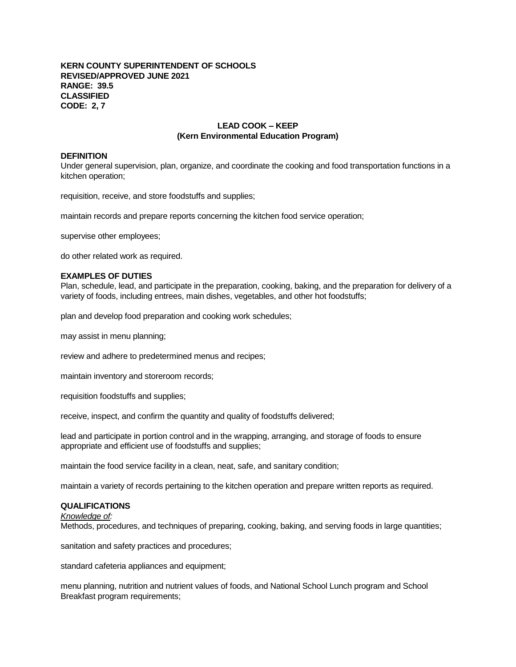## **KERN COUNTY SUPERINTENDENT OF SCHOOLS REVISED/APPROVED JUNE 2021 RANGE: 39.5 CLASSIFIED CODE: 2, 7**

# **LEAD COOK – KEEP (Kern Environmental Education Program)**

## **DEFINITION**

Under general supervision, plan, organize, and coordinate the cooking and food transportation functions in a kitchen operation;

requisition, receive, and store foodstuffs and supplies;

maintain records and prepare reports concerning the kitchen food service operation;

supervise other employees;

do other related work as required.

## **EXAMPLES OF DUTIES**

Plan, schedule, lead, and participate in the preparation, cooking, baking, and the preparation for delivery of a variety of foods, including entrees, main dishes, vegetables, and other hot foodstuffs;

plan and develop food preparation and cooking work schedules;

may assist in menu planning;

review and adhere to predetermined menus and recipes;

maintain inventory and storeroom records;

requisition foodstuffs and supplies;

receive, inspect, and confirm the quantity and quality of foodstuffs delivered;

lead and participate in portion control and in the wrapping, arranging, and storage of foods to ensure appropriate and efficient use of foodstuffs and supplies;

maintain the food service facility in a clean, neat, safe, and sanitary condition;

maintain a variety of records pertaining to the kitchen operation and prepare written reports as required.

# **QUALIFICATIONS**

## *Knowledge of:*

Methods, procedures, and techniques of preparing, cooking, baking, and serving foods in large quantities;

sanitation and safety practices and procedures;

standard cafeteria appliances and equipment;

menu planning, nutrition and nutrient values of foods, and National School Lunch program and School Breakfast program requirements;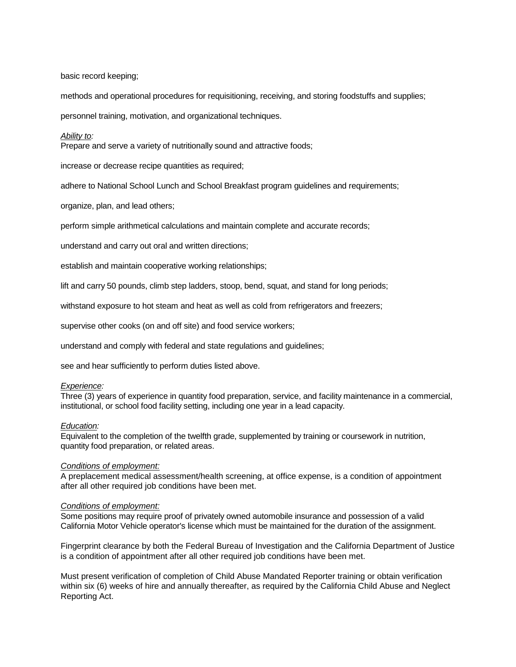basic record keeping;

methods and operational procedures for requisitioning, receiving, and storing foodstuffs and supplies;

personnel training, motivation, and organizational techniques.

## *Ability to:*

Prepare and serve a variety of nutritionally sound and attractive foods;

increase or decrease recipe quantities as required;

adhere to National School Lunch and School Breakfast program guidelines and requirements;

organize, plan, and lead others;

perform simple arithmetical calculations and maintain complete and accurate records;

understand and carry out oral and written directions;

establish and maintain cooperative working relationships;

lift and carry 50 pounds, climb step ladders, stoop, bend, squat, and stand for long periods;

withstand exposure to hot steam and heat as well as cold from refrigerators and freezers;

supervise other cooks (on and off site) and food service workers;

understand and comply with federal and state regulations and guidelines;

see and hear sufficiently to perform duties listed above.

## *Experience:*

Three (3) years of experience in quantity food preparation, service, and facility maintenance in a commercial, institutional, or school food facility setting, including one year in a lead capacity.

## *Education:*

Equivalent to the completion of the twelfth grade, supplemented by training or coursework in nutrition, quantity food preparation, or related areas.

## *Conditions of employment:*

A preplacement medical assessment/health screening, at office expense, is a condition of appointment after all other required job conditions have been met.

## *Conditions of employment:*

Some positions may require proof of privately owned automobile insurance and possession of a valid California Motor Vehicle operator's license which must be maintained for the duration of the assignment.

Fingerprint clearance by both the Federal Bureau of Investigation and the California Department of Justice is a condition of appointment after all other required job conditions have been met.

Must present verification of completion of Child Abuse Mandated Reporter training or obtain verification within six (6) weeks of hire and annually thereafter, as required by the California Child Abuse and Neglect Reporting Act.